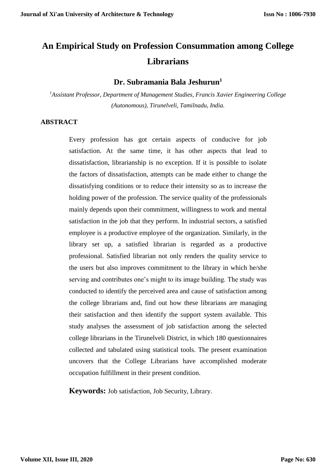# **An Empirical Study on Profession Consummation among College Librarians**

# **Dr. Subramania Bala Jeshurun<sup>1</sup>**

*<sup>1</sup>Assistant Professor, Department of Management Studies, Francis Xavier Engineering College (Autonomous), Tirunelveli, Tamilnadu, India.*

#### **ABSTRACT**

Every profession has got certain aspects of conducive for job satisfaction. At the same time, it has other aspects that lead to dissatisfaction, librarianship is no exception. If it is possible to isolate the factors of dissatisfaction, attempts can be made either to change the dissatisfying conditions or to reduce their intensity so as to increase the holding power of the profession. The service quality of the professionals mainly depends upon their commitment, willingness to work and mental satisfaction in the job that they perform. In industrial sectors, a satisfied employee is a productive employee of the organization. Similarly, in the library set up, a satisfied librarian is regarded as a productive professional. Satisfied librarian not only renders the quality service to the users but also improves commitment to the library in which he/she serving and contributes one's might to its image building. The study was conducted to identify the perceived area and cause of satisfaction among the college librarians and, find out how these librarians are managing their satisfaction and then identify the support system available. This study analyses the assessment of job satisfaction among the selected college librarians in the Tirunelveli District, in which 180 questionnaires collected and tabulated using statistical tools. The present examination uncovers that the College Librarians have accomplished moderate occupation fulfillment in their present condition.

**Keywords:** Job satisfaction, Job Security, Library.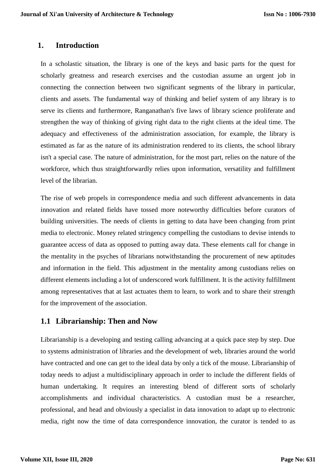## **1. Introduction**

In a scholastic situation, the library is one of the keys and basic parts for the quest for scholarly greatness and research exercises and the custodian assume an urgent job in connecting the connection between two significant segments of the library in particular, clients and assets. The fundamental way of thinking and belief system of any library is to serve its clients and furthermore, Ranganathan's five laws of library science proliferate and strengthen the way of thinking of giving right data to the right clients at the ideal time. The adequacy and effectiveness of the administration association, for example, the library is estimated as far as the nature of its administration rendered to its clients, the school library isn't a special case. The nature of administration, for the most part, relies on the nature of the workforce, which thus straightforwardly relies upon information, versatility and fulfillment level of the librarian.

The rise of web propels in correspondence media and such different advancements in data innovation and related fields have tossed more noteworthy difficulties before curators of building universities. The needs of clients in getting to data have been changing from print media to electronic. Money related stringency compelling the custodians to devise intends to guarantee access of data as opposed to putting away data. These elements call for change in the mentality in the psyches of librarians notwithstanding the procurement of new aptitudes and information in the field. This adjustment in the mentality among custodians relies on different elements including a lot of underscored work fulfillment. It is the activity fulfillment among representatives that at last actuates them to learn, to work and to share their strength for the improvement of the association.

# **1.1 Librarianship: Then and Now**

Librarianship is a developing and testing calling advancing at a quick pace step by step. Due to systems administration of libraries and the development of web, libraries around the world have contracted and one can get to the ideal data by only a tick of the mouse. Librarianship of today needs to adjust a multidisciplinary approach in order to include the different fields of human undertaking. It requires an interesting blend of different sorts of scholarly accomplishments and individual characteristics. A custodian must be a researcher, professional, and head and obviously a specialist in data innovation to adapt up to electronic media, right now the time of data correspondence innovation, the curator is tended to as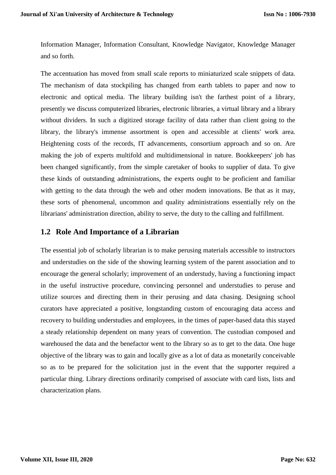Information Manager, Information Consultant, Knowledge Navigator, Knowledge Manager and so forth.

The accentuation has moved from small scale reports to miniaturized scale snippets of data. The mechanism of data stockpiling has changed from earth tablets to paper and now to electronic and optical media. The library building isn't the farthest point of a library, presently we discuss computerized libraries, electronic libraries, a virtual library and a library without dividers. In such a digitized storage facility of data rather than client going to the library, the library's immense assortment is open and accessible at clients' work area. Heightening costs of the records, IT advancements, consortium approach and so on. Are making the job of experts multifold and multidimensional in nature. Bookkeepers' job has been changed significantly, from the simple caretaker of books to supplier of data. To give these kinds of outstanding administrations, the experts ought to be proficient and familiar with getting to the data through the web and other modem innovations. Be that as it may, these sorts of phenomenal, uncommon and quality administrations essentially rely on the librarians' administration direction, ability to serve, the duty to the calling and fulfillment.

#### **1.2 Role And Importance of a Librarian**

The essential job of scholarly librarian is to make perusing materials accessible to instructors and understudies on the side of the showing learning system of the parent association and to encourage the general scholarly; improvement of an understudy, having a functioning impact in the useful instructive procedure, convincing personnel and understudies to peruse and utilize sources and directing them in their perusing and data chasing. Designing school curators have appreciated a positive, longstanding custom of encouraging data access and recovery to building understudies and employees, in the times of paper-based data this stayed a steady relationship dependent on many years of convention. The custodian composed and warehoused the data and the benefactor went to the library so as to get to the data. One huge objective of the library was to gain and locally give as a lot of data as monetarily conceivable so as to be prepared for the solicitation just in the event that the supporter required a particular thing. Library directions ordinarily comprised of associate with card lists, lists and characterization plans.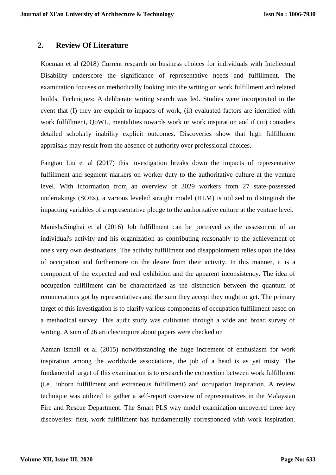## **2. Review Of Literature**

Kocman et al (2018) Current research on business choices for individuals with Intellectual Disability underscore the significance of representative needs and fulfillment. The examination focuses on methodically looking into the writing on work fulfillment and related builds. Techniques: A deliberate writing search was led. Studies were incorporated in the event that (I) they are explicit to impacts of work, (ii) evaluated factors are identified with work fulfillment, QoWL, mentalities towards work or work inspiration and if (iii) considers detailed scholarly inability explicit outcomes. Discoveries show that high fulfillment appraisals may result from the absence of authority over professional choices.

Fangtao Liu et al (2017) this investigation breaks down the impacts of representative fulfillment and segment markers on worker duty to the authoritative culture at the venture level. With information from an overview of 3029 workers from 27 state-possessed undertakings (SOEs), a various leveled straight model (HLM) is utilized to distinguish the impacting variables of a representative pledge to the authoritative culture at the venture level.

ManishaSinghai et al (2016) Job fulfillment can be portrayed as the assessment of an individual's activity and his organization as contributing reasonably to the achievement of one's very own destinations. The activity fulfillment and disappointment relies upon the idea of occupation and furthermore on the desire from their activity. In this manner, it is a component of the expected and real exhibition and the apparent inconsistency. The idea of occupation fulfillment can be characterized as the distinction between the quantum of remunerations got by representatives and the sum they accept they ought to get. The primary target of this investigation is to clarify various components of occupation fulfillment based on a methodical survey. This audit study was cultivated through a wide and broad survey of writing. A sum of 26 articles/inquire about papers were checked on

Azman Ismail et al (2015) notwithstanding the huge increment of enthusiasm for work inspiration among the worldwide associations, the job of a head is as yet misty. The fundamental target of this examination is to research the connection between work fulfillment (i.e., inborn fulfillment and extraneous fulfillment) and occupation inspiration. A review technique was utilized to gather a self-report overview of representatives in the Malaysian Fire and Rescue Department. The Smart PLS way model examination uncovered three key discoveries: first, work fulfillment has fundamentally corresponded with work inspiration.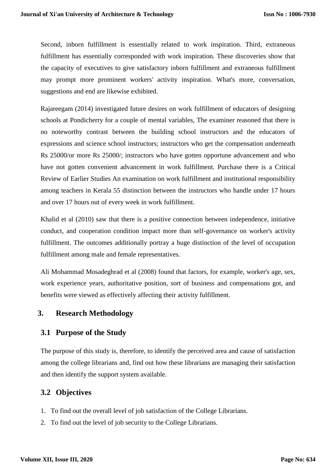Second, inborn fulfillment is essentially related to work inspiration. Third, extraneous fulfillment has essentially corresponded with work inspiration. These discoveries show that the capacity of executives to give satisfactory inborn fulfillment and extraneous fulfillment may prompt more prominent workers' activity inspiration. What's more, conversation, suggestions and end are likewise exhibited.

Rajareegam (2014) investigated future desires on work fulfillment of educators of designing schools at Pondicherry for a couple of mental variables, The examiner reasoned that there is no noteworthy contrast between the building school instructors and the educators of expressions and science school instructors; instructors who get the compensation underneath Rs 25000/or more Rs 25000/; instructors who have gotten opportune advancement and who have not gotten convenient advancement in work fulfillment. Purchase there is a Critical Review of Earlier Studies An examination on work fulfillment and institutional responsibility among teachers in Kerala 55 distinction between the instructors who handle under 17 hours and over 17 hours out of every week in work fulfillment.

Khalid et al (2010) saw that there is a positive connection between independence, initiative conduct, and cooperation condition impact more than self-governance on worker's activity fulfillment. The outcomes additionally portray a huge distinction of the level of occupation fulfillment among male and female representatives.

Ali Mohammad Mosadeghrad et al (2008) found that factors, for example, worker's age, sex, work experience years, authoritative position, sort of business and compensations got, and benefits were viewed as effectively affecting their activity fulfillment.

# **3. Research Methodology**

# **3.1 Purpose of the Study**

The purpose of this study is, therefore, to identify the perceived area and cause of satisfaction among the college librarians and, find out how these librarians are managing their satisfaction and then identify the support system available.

# **3.2 Objectives**

- 1. To find out the overall level of job satisfaction of the College Librarians.
- 2. To find out the level of job security to the College Librarians.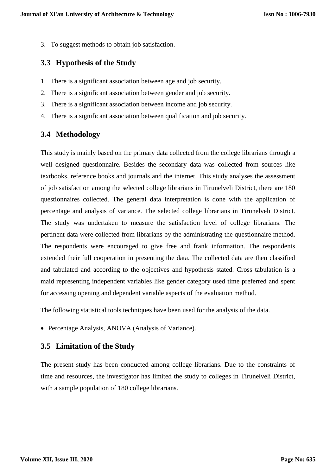3. To suggest methods to obtain job satisfaction.

#### **3.3 Hypothesis of the Study**

- 1. There is a significant association between age and job security.
- 2. There is a significant association between gender and job security.
- 3. There is a significant association between income and job security.
- 4. There is a significant association between qualification and job security.

#### **3.4 Methodology**

This study is mainly based on the primary data collected from the college librarians through a well designed questionnaire. Besides the secondary data was collected from sources like textbooks, reference books and journals and the internet. This study analyses the assessment of job satisfaction among the selected college librarians in Tirunelveli District, there are 180 questionnaires collected. The general data interpretation is done with the application of percentage and analysis of variance. The selected college librarians in Tirunelveli District. The study was undertaken to measure the satisfaction level of college librarians. The pertinent data were collected from librarians by the administrating the questionnaire method. The respondents were encouraged to give free and frank information. The respondents extended their full cooperation in presenting the data. The collected data are then classified and tabulated and according to the objectives and hypothesis stated. Cross tabulation is a maid representing independent variables like gender category used time preferred and spent for accessing opening and dependent variable aspects of the evaluation method.

The following statistical tools techniques have been used for the analysis of the data.

• Percentage Analysis, ANOVA (Analysis of Variance).

#### **3.5 Limitation of the Study**

The present study has been conducted among college librarians. Due to the constraints of time and resources, the investigator has limited the study to colleges in Tirunelveli District, with a sample population of 180 college librarians.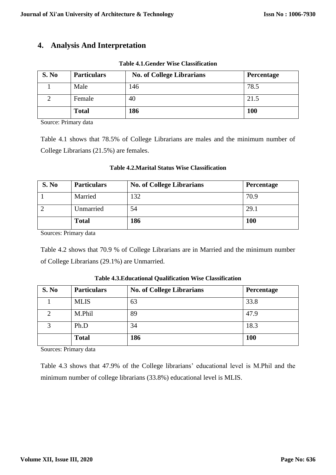# **4. Analysis And Interpretation**

|  | <b>Table 4.1. Gender Wise Classification</b> |  |
|--|----------------------------------------------|--|
|--|----------------------------------------------|--|

| S. No | <b>Particulars</b> | <b>No. of College Librarians</b> | Percentage |
|-------|--------------------|----------------------------------|------------|
|       | Male               | 146                              | 78.5       |
|       | Female             | 40                               | 21.5       |
|       | <b>Total</b>       | 186                              | <b>100</b> |

Source: Primary data

Table 4.1 shows that 78.5% of College Librarians are males and the minimum number of College Librarians (21.5%) are females.

| S. No | <b>Particulars</b> | <b>No. of College Librarians</b> | <b>Percentage</b> |
|-------|--------------------|----------------------------------|-------------------|
|       | Married            | $\overline{32}$                  | 70.9              |
|       | Unmarried          | 54                               | 29.1              |
|       | <b>Total</b>       | 186                              | 100               |

**Table 4.2.Marital Status Wise Classification**

Sources: Primary data

Table 4.2 shows that 70.9 % of College Librarians are in Married and the minimum number of College Librarians (29.1%) are Unmarried.

| S. No | <b>Particulars</b> | <b>No. of College Librarians</b> | Percentage |
|-------|--------------------|----------------------------------|------------|
|       | <b>MLIS</b>        | 63                               | 33.8       |
|       | M.Phil             | 89                               | 47.9       |
| 2     | Ph.D               | 34                               | 18.3       |
|       | <b>Total</b>       | 186                              | <b>100</b> |

**Table 4.3.Educational Qualification Wise Classification**

Sources: Primary data

Table 4.3 shows that 47.9% of the College librarians' educational level is M.Phil and the minimum number of college librarians (33.8%) educational level is MLIS.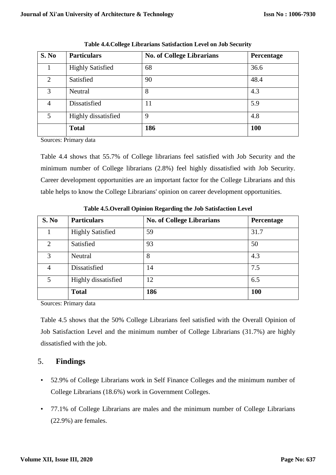| S. No          | <b>Particulars</b>      | <b>No. of College Librarians</b> | Percentage |
|----------------|-------------------------|----------------------------------|------------|
|                | <b>Highly Satisfied</b> | 68                               | 36.6       |
| 2              | Satisfied               | 90                               | 48.4       |
| 3              | Neutral                 | 8                                | 4.3        |
| $\overline{4}$ | Dissatisfied            | 11                               | 5.9        |
| 5              | Highly dissatisfied     | 9                                | 4.8        |
|                | <b>Total</b>            | 186                              | <b>100</b> |

**Table 4.4.College Librarians Satisfaction Level on Job Security**

Sources: Primary data

Table 4.4 shows that 55.7% of College librarians feel satisfied with Job Security and the minimum number of College librarians (2.8%) feel highly dissatisfied with Job Security. Career development opportunities are an important factor for the College Librarians and this table helps to know the College Librarians' opinion on career development opportunities.

| S. No          | <b>Particulars</b>      | <b>No. of College Librarians</b> | Percentage |
|----------------|-------------------------|----------------------------------|------------|
|                | <b>Highly Satisfied</b> | 59                               | 31.7       |
| $\overline{2}$ | Satisfied               | 93                               | 50         |
| 3              | Neutral                 | 8                                | 4.3        |
| $\overline{4}$ | Dissatisfied            | 14                               | 7.5        |
| 5              | Highly dissatisfied     | 12                               | 6.5        |
|                | <b>Total</b>            | 186                              | <b>100</b> |

**Table 4.5.Overall Opinion Regarding the Job Satisfaction Level**

Sources: Primary data

Table 4.5 shows that the 50% College Librarians feel satisfied with the Overall Opinion of Job Satisfaction Level and the minimum number of College Librarians (31.7%) are highly dissatisfied with the job.

# 5. **Findings**

- 52.9% of College Librarians work in Self Finance Colleges and the minimum number of College Librarians (18.6%) work in Government Colleges.
- 77.1% of College Librarians are males and the minimum number of College Librarians (22.9%) are females.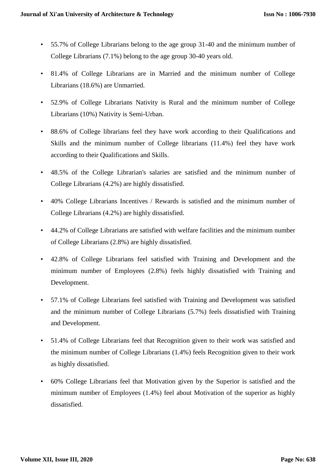- 55.7% of College Librarians belong to the age group 31-40 and the minimum number of College Librarians (7.1%) belong to the age group 30-40 years old.
- 81.4% of College Librarians are in Married and the minimum number of College Librarians (18.6%) are Unmarried.
- 52.9% of College Librarians Nativity is Rural and the minimum number of College Librarians (10%) Nativity is Semi-Urban.
- 88.6% of College librarians feel they have work according to their Qualifications and Skills and the minimum number of College librarians (11.4%) feel they have work according to their Qualifications and Skills.
- 48.5% of the College Librarian's salaries are satisfied and the minimum number of College Librarians (4.2%) are highly dissatisfied.
- 40% College Librarians Incentives / Rewards is satisfied and the minimum number of College Librarians (4.2%) are highly dissatisfied.
- 44.2% of College Librarians are satisfied with welfare facilities and the minimum number of College Librarians (2.8%) are highly dissatisfied.
- 42.8% of College Librarians feel satisfied with Training and Development and the minimum number of Employees (2.8%) feels highly dissatisfied with Training and Development.
- 57.1% of College Librarians feel satisfied with Training and Development was satisfied and the minimum number of College Librarians (5.7%) feels dissatisfied with Training and Development.
- 51.4% of College Librarians feel that Recognition given to their work was satisfied and the minimum number of College Librarians (1.4%) feels Recognition given to their work as highly dissatisfied.
- 60% College Librarians feel that Motivation given by the Superior is satisfied and the minimum number of Employees (1.4%) feel about Motivation of the superior as highly dissatisfied.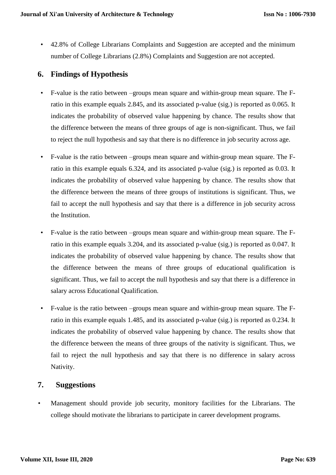• 42.8% of College Librarians Complaints and Suggestion are accepted and the minimum number of College Librarians (2.8%) Complaints and Suggestion are not accepted.

# **6. Findings of Hypothesis**

- F-value is the ratio between –groups mean square and within-group mean square. The Fratio in this example equals 2.845, and its associated p-value (sig.) is reported as 0.065. It indicates the probability of observed value happening by chance. The results show that the difference between the means of three groups of age is non-significant. Thus, we fail to reject the null hypothesis and say that there is no difference in job security across age.
- F-value is the ratio between –groups mean square and within-group mean square. The Fratio in this example equals 6.324, and its associated p-value (sig.) is reported as 0.03. It indicates the probability of observed value happening by chance. The results show that the difference between the means of three groups of institutions is significant. Thus, we fail to accept the null hypothesis and say that there is a difference in job security across the Institution.
- F-value is the ratio between –groups mean square and within-group mean square. The Fratio in this example equals 3.204, and its associated p-value (sig.) is reported as 0.047. It indicates the probability of observed value happening by chance. The results show that the difference between the means of three groups of educational qualification is significant. Thus, we fail to accept the null hypothesis and say that there is a difference in salary across Educational Qualification.
- F-value is the ratio between –groups mean square and within-group mean square. The Fratio in this example equals 1.485, and its associated p-value (sig.) is reported as 0.234. It indicates the probability of observed value happening by chance. The results show that the difference between the means of three groups of the nativity is significant. Thus, we fail to reject the null hypothesis and say that there is no difference in salary across Nativity.

# **7. Suggestions**

• Management should provide job security, monitory facilities for the Librarians. The college should motivate the librarians to participate in career development programs.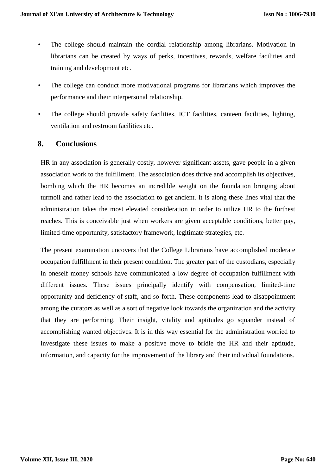- The college should maintain the cordial relationship among librarians. Motivation in librarians can be created by ways of perks, incentives, rewards, welfare facilities and training and development etc.
- The college can conduct more motivational programs for librarians which improves the performance and their interpersonal relationship.
- The college should provide safety facilities, ICT facilities, canteen facilities, lighting, ventilation and restroom facilities etc.

#### **8. Conclusions**

HR in any association is generally costly, however significant assets, gave people in a given association work to the fulfillment. The association does thrive and accomplish its objectives, bombing which the HR becomes an incredible weight on the foundation bringing about turmoil and rather lead to the association to get ancient. It is along these lines vital that the administration takes the most elevated consideration in order to utilize HR to the furthest reaches. This is conceivable just when workers are given acceptable conditions, better pay, limited-time opportunity, satisfactory framework, legitimate strategies, etc.

The present examination uncovers that the College Librarians have accomplished moderate occupation fulfillment in their present condition. The greater part of the custodians, especially in oneself money schools have communicated a low degree of occupation fulfillment with different issues. These issues principally identify with compensation, limited-time opportunity and deficiency of staff, and so forth. These components lead to disappointment among the curators as well as a sort of negative look towards the organization and the activity that they are performing. Their insight, vitality and aptitudes go squander instead of accomplishing wanted objectives. It is in this way essential for the administration worried to investigate these issues to make a positive move to bridle the HR and their aptitude, information, and capacity for the improvement of the library and their individual foundations.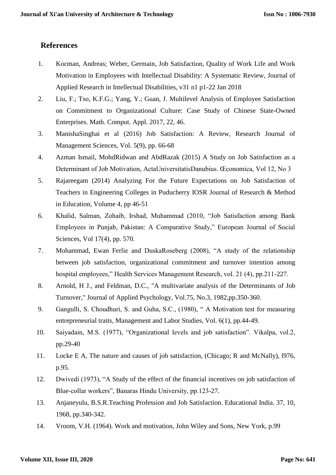# **References**

- 1. Kocman, Andreas; Weber, Germain, Job Satisfaction, Quality of Work Life and Work Motivation in Employees with Intellectual Disability: A Systematic Review, Journal of Applied Research in Intellectual Disabilities, v31 n1 p1-22 Jan 2018
- 2. Liu, F.; Tso, K.F.G.; Yang, Y.; Guan, J. Multilevel Analysis of Employee Satisfaction on Commitment to Organizational Culture: Case Study of Chinese State-Owned Enterprises. Math. Comput. Appl. 2017, 22, 46.
- 3. ManishaSinghai et al (2016) Job Satisfaction: A Review, Research Journal of Management Sciences, Vol. 5(9), pp. 66-68
- 4. Azman Ismail, MohdRidwan and AbdRazak (2015) A Study on Job Satisfaction as a Determinant of Job Motivation, ActaUniversitatisDanubius. Œconomica, Vol 12, No 3
- 5. Rajareegam (2014) Analyzing For the Future Expectations on Job Satisfaction of Teachers in Engineering Colleges in Puducherry IOSR Journal of Research & Method in Education, Volume 4, pp 46-51
- 6. Khalid, Salman, Zohaib, Irshad, Muhammad (2010, "Job Satisfaction among Bank Employees in Punjab, Pakistan: A Comparative Study," European Journal of Social Sciences, Vol 17(4), pp. 570.
- 7. Mohammad, Ewan Ferlie and DuskaRoseberg (2008), "A study of the relationship between job satisfaction, organizational commitment and turnover intention among hospital employees," Health Services Management Research, vol. 21 (4), pp.211-227.
- 8. Arnold, H J., and Feldman, D.C., "A multivariate analysis of the Determinants of Job Turnover," Journal of Applied Psychology, Vol.75, No.3, 1982,pp.350-360.
- 9. Gangulli, S. Choudhuri, S. and Guha, S.C., (1980), " A Motivation test for measuring entrepreneurial traits, Management and Labor Studies, Vol. 6(1), pp.44-49.
- 10. Saiyadain, M.S. (1977), "Organizational levels and job satisfaction". Vikalpa, vol.2, pp.29-40
- 11. Locke E A, The nature and causes of job satisfaction, (Chicago; R and McNally), l976, p.95.
- 12. Dwivedi (1973), "A Study of the effect of the financial incentives on job satisfaction of Blue-collar workers", Banaras Hindu University, pp.123-27.
- 13. Anjaneyulu, B.S.R.Teaching Profession and Job Satisfaction. Educational India. 37, 10, 1968, pp.340-342.
- 14. Vroom, V.H. (1964). Work and motivation, John Wiley and Sons, New York, p.99